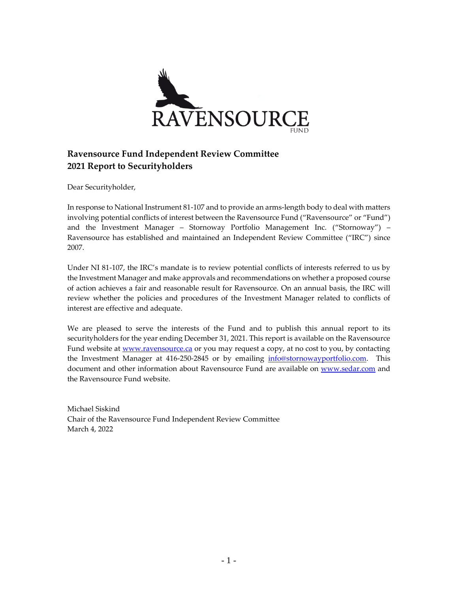

Dear Securityholder,

In response to National Instrument 81-107 and to provide an arms-length body to deal with matters involving potential conflicts of interest between the Ravensource Fund ("Ravensource" or "Fund") and the Investment Manager – Stornoway Portfolio Management Inc. ("Stornoway") – Ravensource has established and maintained an Independent Review Committee ("IRC") since 2007.

Under NI 81-107, the IRC's mandate is to review potential conflicts of interests referred to us by the Investment Manager and make approvals and recommendations on whether a proposed course of action achieves a fair and reasonable result for Ravensource. On an annual basis, the IRC will review whether the policies and procedures of the Investment Manager related to conflicts of interest are effective and adequate.

We are pleased to serve the interests of the Fund and to publish this annual report to its securityholders for the year ending December 31, 2021. This report is available on the Ravensource Fund website a[t www.ravensource.ca](http://www.ravensource.ca/) or you may request a copy, at no cost to you, by contacting the Investment Manager at 416-250-2845 or by emailing [info@stornowayportfolio.com.](mailto:info@stornowayportfolio.com) This document and other information about Ravensource Fund are available on [www.sedar.com](http://www.sedar.com/) and the Ravensource Fund website.

Michael Siskind Chair of the Ravensource Fund Independent Review Committee March 4, 2022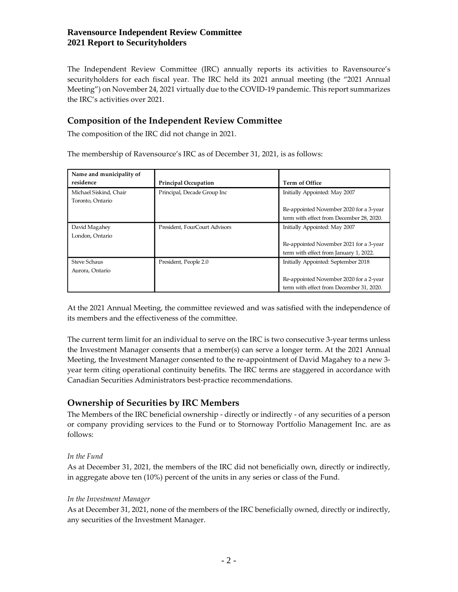The Independent Review Committee (IRC) annually reports its activities to Ravensource's securityholders for each fiscal year. The IRC held its 2021 annual meeting (the "2021 Annual Meeting") on November 24, 2021 virtually due to the COVID-19 pandemic. This report summarizes the IRC's activities over 2021.

# **Composition of the Independent Review Committee**

The composition of the IRC did not change in 2021.

The membership of Ravensource's IRC as of December 31, 2021, is as follows:

| Name and municipality of |                               |                                          |
|--------------------------|-------------------------------|------------------------------------------|
| residence                | <b>Principal Occupation</b>   | <b>Term of Office</b>                    |
| Michael Siskind, Chair   | Principal, Decade Group Inc   | Initially Appointed: May 2007            |
| Toronto, Ontario         |                               |                                          |
|                          |                               | Re-appointed November 2020 for a 3-year  |
|                          |                               | term with effect from December 28, 2020. |
| David Magahey            | President, FourCourt Advisors | Initially Appointed: May 2007            |
| London, Ontario          |                               |                                          |
|                          |                               | Re-appointed November 2021 for a 3-year  |
|                          |                               | term with effect from January 1, 2022.   |
| <b>Steve Schaus</b>      | President, People 2.0         | Initially Appointed: September 2018      |
| Aurora, Ontario          |                               |                                          |
|                          |                               | Re-appointed November 2020 for a 2-year  |
|                          |                               | term with effect from December 31, 2020. |

At the 2021 Annual Meeting, the committee reviewed and was satisfied with the independence of its members and the effectiveness of the committee.

The current term limit for an individual to serve on the IRC is two consecutive 3-year terms unless the Investment Manager consents that a member(s) can serve a longer term. At the 2021 Annual Meeting, the Investment Manager consented to the re-appointment of David Magahey to a new 3 year term citing operational continuity benefits. The IRC terms are staggered in accordance with Canadian Securities Administrators best-practice recommendations.

# **Ownership of Securities by IRC Members**

The Members of the IRC beneficial ownership - directly or indirectly - of any securities of a person or company providing services to the Fund or to Stornoway Portfolio Management Inc. are as follows:

### *In the Fund*

As at December 31, 2021, the members of the IRC did not beneficially own, directly or indirectly, in aggregate above ten (10%) percent of the units in any series or class of the Fund.

#### *In the Investment Manager*

As at December 31, 2021, none of the members of the IRC beneficially owned, directly or indirectly, any securities of the Investment Manager.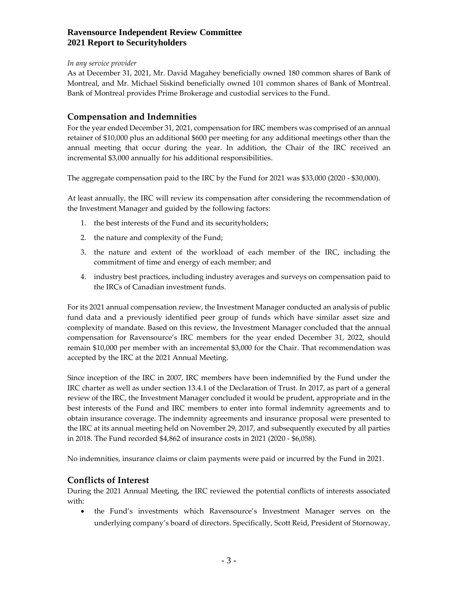#### *In any service provider*

As at December 31, 2021, Mr. David Magahey beneficially owned 180 common shares of Bank of Montreal, and Mr. Michael Siskind beneficially owned 101 common shares of Bank of Montreal. Bank of Montreal provides Prime Brokerage and custodial services to the Fund.

### **Compensation and Indemnities**

For the year ended December 31, 2021, compensation for IRC members was comprised of an annual retainer of \$10,000 plus an additional \$600 per meeting for any additional meetings other than the annual meeting that occur during the year. In addition, the Chair of the IRC received an incremental \$3,000 annually for his additional responsibilities.

The aggregate compensation paid to the IRC by the Fund for 2021 was \$33,000 (2020 - \$30,000).

At least annually, the IRC will review its compensation after considering the recommendation of the Investment Manager and guided by the following factors:

- 1. the best interests of the Fund and its securityholders;
- 2. the nature and complexity of the Fund;
- 3. the nature and extent of the workload of each member of the IRC, including the commitment of time and energy of each member; and
- 4. industry best practices, including industry averages and surveys on compensation paid to the IRCs of Canadian investment funds.

For its 2021 annual compensation review, the Investment Manager conducted an analysis of public fund data and a previously identified peer group of funds which have similar asset size and complexity of mandate. Based on this review, the Investment Manager concluded that the annual compensation for Ravensource's IRC members for the year ended December 31, 2022, should remain \$10,000 per member with an incremental \$3,000 for the Chair. That recommendation was accepted by the IRC at the 2021 Annual Meeting.

Since inception of the IRC in 2007, IRC members have been indemnified by the Fund under the IRC charter as well as under section 13.4.1 of the Declaration of Trust. In 2017, as part of a general review of the IRC, the Investment Manager concluded it would be prudent, appropriate and in the best interests of the Fund and IRC members to enter into formal indemnity agreements and to obtain insurance coverage. The indemnity agreements and insurance proposal were presented to the IRC at its annual meeting held on November 29, 2017, and subsequently executed by all parties in 2018. The Fund recorded \$4,862 of insurance costs in 2021 (2020 - \$6,058).

No indemnities, insurance claims or claim payments were paid or incurred by the Fund in 2021.

### **Conflicts of Interest**

During the 2021 Annual Meeting, the IRC reviewed the potential conflicts of interests associated with:

• the Fund's investments which Ravensource's Investment Manager serves on the underlying company's board of directors. Specifically, Scott Reid, President of Stornoway,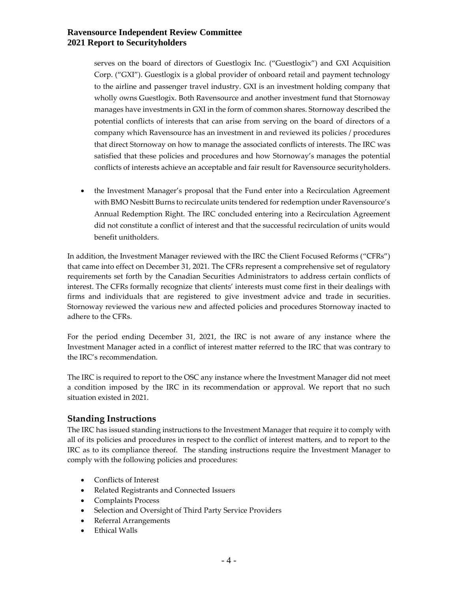serves on the board of directors of Guestlogix Inc. ("Guestlogix") and GXI Acquisition Corp. ("GXI"). Guestlogix is a global provider of onboard retail and payment technology to the airline and passenger travel industry. GXI is an investment holding company that wholly owns Guestlogix. Both Ravensource and another investment fund that Stornoway manages have investments in GXI in the form of common shares. Stornoway described the potential conflicts of interests that can arise from serving on the board of directors of a company which Ravensource has an investment in and reviewed its policies / procedures that direct Stornoway on how to manage the associated conflicts of interests. The IRC was satisfied that these policies and procedures and how Stornoway's manages the potential conflicts of interests achieve an acceptable and fair result for Ravensource securityholders.

• the Investment Manager's proposal that the Fund enter into a Recirculation Agreement with BMO Nesbitt Burns to recirculate units tendered for redemption under Ravensource's Annual Redemption Right. The IRC concluded entering into a Recirculation Agreement did not constitute a conflict of interest and that the successful recirculation of units would benefit unitholders.

In addition, the Investment Manager reviewed with the IRC the Client Focused Reforms ("CFRs") that came into effect on December 31, 2021. The CFRs represent a comprehensive set of regulatory requirements set forth by the Canadian Securities Administrators to address certain conflicts of interest. The CFRs formally recognize that clients' interests must come first in their dealings with firms and individuals that are registered to give investment advice and trade in securities. Stornoway reviewed the various new and affected policies and procedures Stornoway inacted to adhere to the CFRs.

For the period ending December 31, 2021, the IRC is not aware of any instance where the Investment Manager acted in a conflict of interest matter referred to the IRC that was contrary to the IRC's recommendation.

The IRC is required to report to the OSC any instance where the Investment Manager did not meet a condition imposed by the IRC in its recommendation or approval. We report that no such situation existed in 2021.

### **Standing Instructions**

The IRC has issued standing instructions to the Investment Manager that require it to comply with all of its policies and procedures in respect to the conflict of interest matters, and to report to the IRC as to its compliance thereof. The standing instructions require the Investment Manager to comply with the following policies and procedures:

- Conflicts of Interest
- Related Registrants and Connected Issuers
- Complaints Process
- Selection and Oversight of Third Party Service Providers
- Referral Arrangements
- Ethical Walls